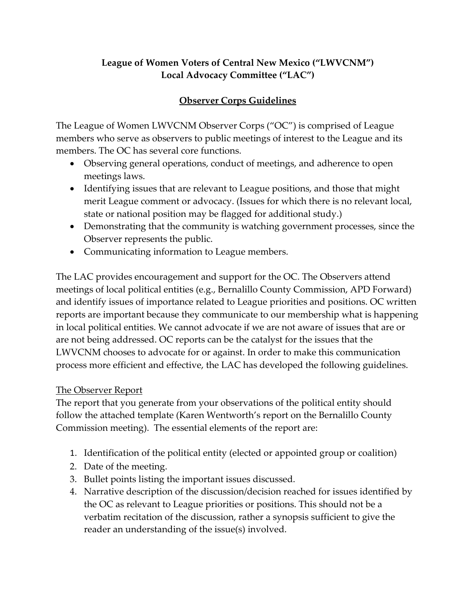# **League of Women Voters of Central New Mexico ("LWVCNM") Local Advocacy Committee ("LAC")**

# **Observer Corps Guidelines**

The League of Women LWVCNM Observer Corps ("OC") is comprised of League members who serve as observers to public meetings of interest to the League and its members. The OC has several core functions.

- Observing general operations, conduct of meetings, and adherence to open meetings laws.
- Identifying issues that are relevant to League positions, and those that might merit League comment or advocacy. (Issues for which there is no relevant local, state or national position may be flagged for additional study.)
- Demonstrating that the community is watching government processes, since the Observer represents the public.
- Communicating information to League members.

The LAC provides encouragement and support for the OC. The Observers attend meetings of local political entities (e.g., Bernalillo County Commission, APD Forward) and identify issues of importance related to League priorities and positions. OC written reports are important because they communicate to our membership what is happening in local political entities. We cannot advocate if we are not aware of issues that are or are not being addressed. OC reports can be the catalyst for the issues that the LWVCNM chooses to advocate for or against. In order to make this communication process more efficient and effective, the LAC has developed the following guidelines.

### The Observer Report

The report that you generate from your observations of the political entity should follow the attached template (Karen Wentworth's report on the Bernalillo County Commission meeting). The essential elements of the report are:

- 1. Identification of the political entity (elected or appointed group or coalition)
- 2. Date of the meeting.
- 3. Bullet points listing the important issues discussed.
- 4. Narrative description of the discussion/decision reached for issues identified by the OC as relevant to League priorities or positions. This should not be a verbatim recitation of the discussion, rather a synopsis sufficient to give the reader an understanding of the issue(s) involved.